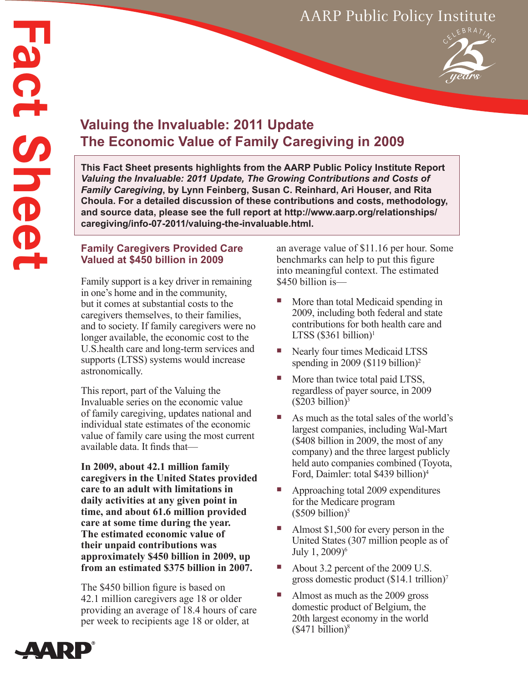# AARP Public Policy Institute

# **Valuing the Invaluable: 2011 Update The Economic Value of Family Caregiving in 2009**

**This Fact Sheet presents highlights from the AARP Public Policy Institute Report**  *Valuing the Invaluable: 2011 Update, The Growing Contributions and Costs of Family Caregiving***, by Lynn Feinberg, Susan C. Reinhard, Ari Houser, and Rita Choula. For a detailed discussion of these contributions and costs, methodology, and source data, please see the full report at [http://www.aarp.org/relationships/](http://www.aarp.org/relationships/caregiving/info-07-2011/valuing-the-invaluable.html) [caregiving/info-07-2011/valuing-the-invaluable.html.](http://www.aarp.org/relationships/caregiving/info-07-2011/valuing-the-invaluable.html)**

#### **Family Caregivers Provided Care Valued at \$450 billion in 2009**

Family support is a key driver in remaining in one's home and in the community, but it comes at substantial costs to the caregivers themselves, to their families, and to society. If family caregivers were no longer available, the economic cost to the U.S.health care and long-term services and supports (LTSS) systems would increase astronomically.

This report, part of the Valuing the Invaluable series on the economic value of family caregiving, updates national and individual state estimates of the economic value of family care using the most current available data. It finds that—

**In 2009, about 42.1 million family caregivers in the United States provided care to an adult with limitations in daily activities at any given point in time, and about 61.6 million provided care at some time during the year. The estimated economic value of their unpaid contributions was approximately \$450 billion in 2009, up from an estimated \$375 billion in 2007.**

The \$450 billion figure is based on 42.1 million caregivers age 18 or older providing an average of 18.4 hours of care per week to recipients age 18 or older, at

an average value of \$11.16 per hour. Some benchmarks can help to put this figure into meaningful context. The estimated \$450 billion is—

- More than total Medicaid spending in 2009, including both federal and state contributions for both health care and LTSS  $(\$361$  billion)<sup>1</sup>
- Nearly four times Medicaid LTSS spending in 2009 (\$119 billion)<sup>2</sup>
- More than twice total paid LTSS, regardless of payer source, in 2009  $($203 billion)<sup>3</sup>$
- As much as the total sales of the world's largest companies, including Wal-Mart (\$408 billion in 2009, the most of any company) and the three largest publicly held auto companies combined (Toyota, Ford, Daimler: total \$439 billion)4
- Approaching total 2009 expenditures for the Medicare program  $($509 billion)<sup>5</sup>$
- Almost \$1,500 for every person in the United States (307 million people as of July 1, 2009)<sup>6</sup>
- About 3.2 percent of the 2009 U.S. gross domestic product (\$14.1 trillion)7
- Almost as much as the 2009 gross domestic product of Belgium, the 20th largest economy in the world  $($471 billion)<sup>8</sup>$

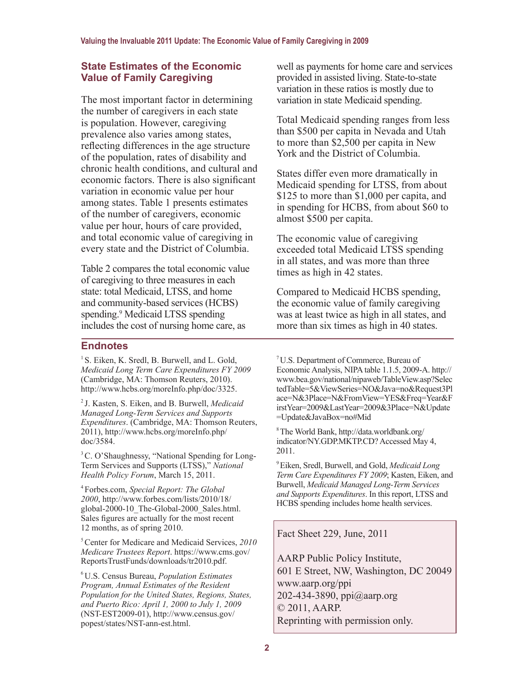## **State Estimates of the Economic Value of Family Caregiving**

The most important factor in determining the number of caregivers in each state is population. However, caregiving prevalence also varies among states, reflecting differences in the age structure of the population, rates of disability and chronic health conditions, and cultural and economic factors. There is also significant variation in economic value per hour among states. Table 1 presents estimates of the number of caregivers, economic value per hour, hours of care provided, and total economic value of caregiving in every state and the District of Columbia.

Table 2 compares the total economic value of caregiving to three measures in each state: total Medicaid, LTSS, and home and community-based services (HCBS) spending.<sup>9</sup> Medicaid LTSS spending includes the cost of nursing home care, as

## **Endnotes**

<sup>1</sup> S. Eiken, K. Sredl, B. Burwell, and L. Gold, *Medicaid Long Term Care Expenditures FY 2009*  (Cambridge, MA: Thomson Reuters, 2010). http://[www.hcbs.org/moreInfo.php/doc](http://www.hcbs.org/moreInfo.php/doc/3325)/3325.

2 J. Kasten, S. Eiken, and B. Burwell, *Medicaid*  , *Expenditures*. (Cambridge, MA: Thomson Reuters *Managed Long-Term Services and Supports*  2011), [http://www.hcbs.org/moreInfo.php/](http://www.hcbs.org/moreInfo.php/doc/3584) [doc/3584](http://www.hcbs.org/moreInfo.php/doc/3584).

<sup>3</sup> C. O'Shaughnessy, "National Spending for Long-Term Services and Supports (LTSS)," *National Health Policy Forum*, March 15, 2011.

<sup>4</sup> Forbes.com, *Special Report: The Global 2000*, [http://www.forbes.com/lists/2010/18/](http://www.forbes.com/lists/2010/18/global-2000-10_The-Global-2000_Sales.html) [global-2000-10\\_The-Global-2000\\_Sales.html.](http://www.forbes.com/lists/2010/18/global-2000-10_The-Global-2000_Sales.html) Sales figures are actually for the most recent 12 months, as of spring 2010.

5 Center for Medicare and Medicaid Services, *2010 Medicare Trustees Report*. [https://www.cms.gov/](https://www.cms.gov/ReportsTrustFunds/downloads/tr2010.pdf) [ReportsTrustFunds/downloads/tr2010.pdf.](https://www.cms.gov/ReportsTrustFunds/downloads/tr2010.pdf)

6 U.S. Census Bureau, *Population Estimates Program, Annual Estimates of the Resident Population for the United States, Regions, States, and Puerto Rico: April 1, 2000 to July 1, 2009* (NST-EST2009-01), [http://www.census.gov/](http://www.census.gov/popest/states/NST-ann-est.html) [popest/states/NST-ann-est.html.](http://www.census.gov/popest/states/NST-ann-est.html)

well as payments for home care and services provided in assisted living. State-to-state variation in these ratios is mostly due to variation in state Medicaid spending.

Total Medicaid spending ranges from less than \$500 per capita in Nevada and Utah to more than \$2,500 per capita in New York and the District of Columbia.

States differ even more dramatically in Medicaid spending for LTSS, from about \$125 to more than \$1,000 per capita, and in spending for HCBS, from about \$60 to almost \$500 per capita.

The economic value of caregiving exceeded total Medicaid LTSS spending in all states, and was more than three times as high in 42 states.

Compared to Medicaid HCBS spending, the economic value of family caregiving was at least twice as high in all states, and more than six times as high in 40 states.

7 U.S. Department of Commerce, Bureau of Economic Analysis, NIPA table 1.1.5, 2009-A. [http://](http://www.bea.gov/national/nipaweb/TableView.asp?SelectedTable=5&ViewSeries=NO&Java=no&Request3Place=N&3Place=N&FromView=YES&Freq=Year&FirstYear=2009&LastYear=2009&3Place=N&Update=Update&JavaBox=no#Mid) [www.bea.gov/national/nipaweb/TableView.asp?Selec](http://www.bea.gov/national/nipaweb/TableView.asp?SelectedTable=5&ViewSeries=NO&Java=no&Request3Place=N&3Place=N&FromView=YES&Freq=Year&FirstYear=2009&LastYear=2009&3Place=N&Update=Update&JavaBox=no#Mid) tedTable=5&ViewSeries=NO&Java=no&Request3Pl ace=N&3Place=N&FromView=YES&Freq=Year&F irstYear=2009&LastYear=2009&3Place=N&Update [=Update&JavaBox=no#Mid](http://www.bea.gov/national/nipaweb/TableView.asp?SelectedTable=5&ViewSeries=NO&Java=no&Request3Place=N&3Place=N&FromView=YES&Freq=Year&FirstYear=2009&LastYear=2009&3Place=N&Update=Update&JavaBox=no#Mid) 

8 The World Bank, [http://data.worldbank.org/](http://data.worldbank.org/indicator/NY.GDP.MKTP.CD?) [indicator/NY.GDP.MKTP.CD?](http://data.worldbank.org/indicator/NY.GDP.MKTP.CD?) Accessed May 4, 2011.

9 Eiken, Sredl, Burwell, and Gold, *Medicaid Long Term Care Expenditures FY 2009*; Kasten, Eiken, and Burwell, *Medicaid Managed Long-Term Services and Supports Expenditures*. In this report, LTSS and HCBS spending includes home health services.

Fact Sheet 229, June, 2011

AARP Public Policy Institute, 601 E Street, NW, Washington, DC 20049 [www.aarp.org/ppi](http://www.aarp.org/ppi) 202-434-3890, [ppi@aarp.org](mailto:ppi%40aarp.org?subject=) © 2011, AARP. Reprinting with permission only.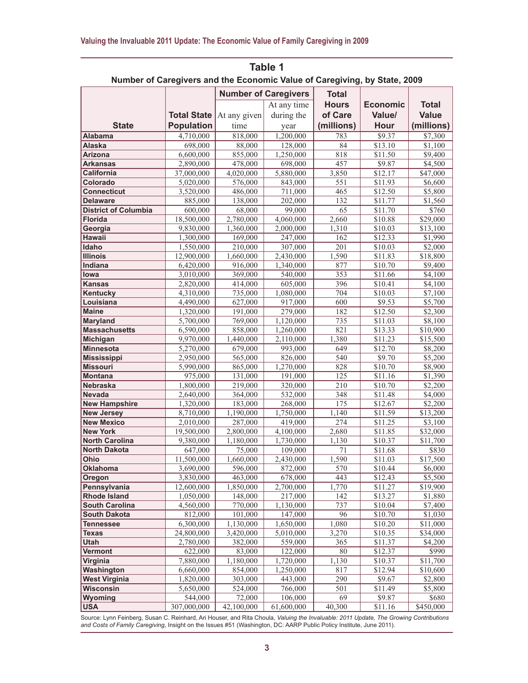| Number of Caregivers and the Economic Value of Caregiving, by State, 2009<br><b>Number of Caregivers</b><br><b>Total</b>                                                          |       |
|-----------------------------------------------------------------------------------------------------------------------------------------------------------------------------------|-------|
|                                                                                                                                                                                   |       |
|                                                                                                                                                                                   |       |
| <b>Hours</b><br><b>Economic</b><br><b>Total</b>                                                                                                                                   |       |
| At any time<br>of Care<br><b>Value</b><br><b>Total State</b><br>Value/                                                                                                            |       |
| At any given<br>during the                                                                                                                                                        |       |
| <b>State</b><br><b>Population</b><br>(millions)<br><b>Hour</b><br>(millions)<br>time<br>year                                                                                      |       |
| 4,710,000<br>818,000<br>1,200,000<br>783<br>\$9.37<br>\$7,300<br><b>Alabama</b>                                                                                                   |       |
| 698,000<br>128,000<br>\$13.10<br>\$1,100<br>Alaska<br>88,000<br>84                                                                                                                |       |
| 6,600,000<br>1,250,000<br>818<br>$\overline{$}11.50$<br><b>Arizona</b><br>855,000<br>\$9,400                                                                                      |       |
| 698,000<br>457<br>\$4,500<br><b>Arkansas</b><br>2,890,000<br>478,000<br>\$9.87<br>37,000,000<br>$\overline{4,020,000}$<br>5,880,000<br>3,850<br>\$12.17<br>\$47,000<br>California |       |
| Colorado                                                                                                                                                                          |       |
| 5,020,000<br>576,000<br>843,000<br>551<br>\$11.93<br>\$6,600<br>465<br><b>Connecticut</b>                                                                                         |       |
| 3,520,000<br>486,000<br>711,000<br>\$12.50<br>\$5,800<br>138,000<br>202,000<br>132<br><b>Delaware</b><br>885,000<br>\$11.77<br>\$1,560                                            |       |
| <b>District of Columbia</b><br>99,000<br>65<br>\$11.70<br>600,000<br>68,000                                                                                                       | \$760 |
| <b>Florida</b><br>18,500,000<br>2,780,000<br>4,060,000<br>2,660<br>\$10.88<br>\$29,000                                                                                            |       |
| 1,310<br>Georgia<br>9,830,000<br>1,360,000<br>2,000,000<br>\$10.03<br>\$13,100                                                                                                    |       |
| Hawaii<br>169,000<br>162<br>1,300,000<br>247,000<br>\$12.33<br>\$1,990                                                                                                            |       |
| Idaho<br>1,550,000<br>307,000<br>201<br>\$2,000<br>210,000<br>\$10.03                                                                                                             |       |
| <b>Illinois</b><br>12,900,000<br>2,430,000<br>1,590<br>$\overline{$}11.83$<br>\$18,800<br>1,660,000                                                                               |       |
| Indiana<br>916,000<br>1,340,000<br>877<br>\$10.70<br>6,420,000<br>\$9,400                                                                                                         |       |
| 540,000<br>353<br>lowa<br>3,010,000<br>369,000<br>\$11.66<br>\$4,100                                                                                                              |       |
| 605,000<br>396<br><b>Kansas</b><br>2,820,000<br>414,000<br>\$10.41<br>\$4,100                                                                                                     |       |
| $\overline{704}$<br>\$7,100<br>4,310,000<br>735,000<br>1,080,000<br>\$10.03<br>Kentucky                                                                                           |       |
| 4,490,000<br>627,000<br>917,000<br>600<br>\$9.53<br>\$5,700<br>Louisiana                                                                                                          |       |
| <b>Maine</b><br>279,000<br>182<br>\$12.50<br>\$2,300<br>1,320,000<br>191,000                                                                                                      |       |
| 769,000<br>1,120,000<br>735<br>Maryland<br>5,700,000<br>\$11.03<br>\$8,100                                                                                                        |       |
| 821<br><b>Massachusetts</b><br>858,000<br>1,260,000<br>\$13.33<br>\$10,900<br>6,590,000                                                                                           |       |
| 9,970,000<br>2,110,000<br>1,380<br>$\overline{$15,500}$<br>Michigan<br>1,440,000<br>\$11.23                                                                                       |       |
| 679,000<br>993,000<br>649<br>\$12.70<br>\$8,200<br><b>Minnesota</b><br>5,270,000                                                                                                  |       |
| 540<br>\$9.70<br>2,950,000<br>565,000<br>826,000<br>\$5,200<br><b>Mississippi</b>                                                                                                 |       |
| 828<br><b>Missouri</b><br>5,990,000<br>865,000<br>1,270,000<br>\$10.70<br>\$8,900                                                                                                 |       |
| 125<br>\$1,390<br><b>Montana</b><br>975,000<br>131,000<br>191,000<br>\$11.16                                                                                                      |       |
| 1,800,000<br>219,000<br>320,000<br>210<br>\$10.70<br>\$2,200<br><b>Nebraska</b>                                                                                                   |       |
| Nevada<br>532,000<br>2,640,000<br>364,000<br>348<br>\$11.48<br>\$4,000                                                                                                            |       |
| 183,000<br>268,000<br>175<br>\$12.67<br><b>New Hampshire</b><br>1,320,000<br>\$2,200                                                                                              |       |
| 1,190,000<br>1,750,000<br>1,140<br>\$13,200<br><b>New Jersey</b><br>8,710,000<br>\$11.59                                                                                          |       |
| 274<br>2,010,000<br>287,000<br>419,000<br>\$11.25<br><b>New Mexico</b><br>\$3,100                                                                                                 |       |
| <b>New York</b><br>19,500,000<br>2,800,000<br>4,100,000<br>2,680<br>\$32,000<br>\$11.85                                                                                           |       |
| <b>North Carolina</b><br>9,380,000<br>1,180,000<br>1,730,000<br>1,130<br>\$10.37<br>\$11,700                                                                                      |       |
| \$11.68<br>75,000<br>North Dakota<br>647,000<br>109,000<br>71                                                                                                                     | \$830 |
| 1,590<br>11,500,000<br>1,660,000<br>2,430,000<br>\$11.03<br>\$17,500<br>Ohio                                                                                                      |       |
| 570<br><b>Oklahoma</b><br>3,690,000<br>596,000<br>872,000<br>\$10.44<br>\$6,000                                                                                                   |       |
| 3,830,000<br>463,000<br>678,000<br>443<br>\$12.43<br>\$5,500<br>Oregon                                                                                                            |       |
| Pennsylvania<br>1,770<br>12,600,000<br>1,850,000<br>2,700,000<br>\$11.27<br>\$19,900                                                                                              |       |
| <b>Rhode Island</b><br>148,000<br>142<br>1,050,000<br>217,000<br>\$13.27<br>\$1,880                                                                                               |       |
| 737<br><b>South Carolina</b><br>4,560,000<br>770,000<br>1,130,000<br>\$10.04<br>\$7,400                                                                                           |       |
| 96<br><b>South Dakota</b><br>812,000<br>101,000<br>147,000<br>\$10.70<br>\$1,030                                                                                                  |       |
| 6,300,000<br>1,130,000<br>1,650,000<br>1,080<br>\$10.20<br>\$11,000<br>Tennessee                                                                                                  |       |
| 3,270<br>24,800,000<br>3,420,000<br>5,010,000<br>\$10.35<br>\$34,000<br><b>Texas</b>                                                                                              |       |
| 365<br>Utah<br>2,780,000<br>382,000<br>559,000<br>\$11.37<br>\$4,200<br>122,000<br><b>Vermont</b>                                                                                 |       |
| 80<br>622,000<br>83,000<br>\$12.37<br>1,130<br>\$11,700                                                                                                                           | \$990 |
| Virginia<br>7,880,000<br>1,180,000<br>1,720,000<br>\$10.37<br>Washington                                                                                                          |       |
| 6,660,000<br>854,000<br>1,250,000<br>817<br>\$12.94<br>\$10,600<br><b>West Virginia</b><br>290<br>1,820,000<br>303,000<br>443,000<br>\$9.67<br>\$2,800                            |       |
| 5,650,000<br>501<br>Wisconsin<br>524,000<br>766,000<br>\$11.49<br>\$5,800                                                                                                         |       |
| 544,000<br>106,000<br>69<br>Wyoming<br>72,000<br>\$9.87                                                                                                                           | \$680 |
| <b>USA</b><br>307,000,000<br>61,600,000<br>40,300<br>42,100,000<br>\$11.16<br>\$450,000                                                                                           |       |

Source: Lynn Feinberg, Susan C. Reinhard, Ari Houser, and Rita Choula, *Valuing the Invaluable: 2011 Update, The Growing Contributions and Costs of Family Caregiving*, Insight on the Issues #51 (Washington, DC: AARP Public Policy Institute, June 2011).